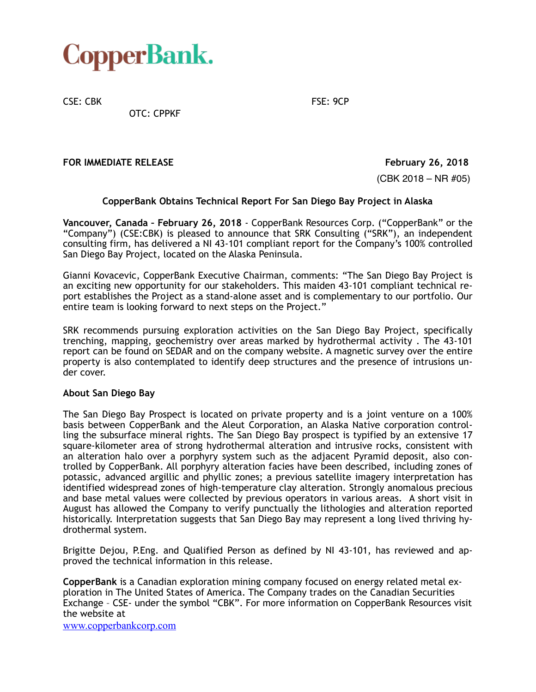## CopperBank.

CSE: CBK FSE: 9CP

OTC: CPPKF

**FOR IMMEDIATE RELEASE FOR IMMEDIATE RELEASE** 

(CBK 2018 – NR #05)

## **CopperBank Obtains Technical Report For San Diego Bay Project in Alaska**

**Vancouver, Canada – February 26, 2018** - CopperBank Resources Corp. ("CopperBank" or the "Company") (CSE:CBK) is pleased to announce that SRK Consulting ("SRK"), an independent consulting firm, has delivered a NI 43-101 compliant report for the Company's 100% controlled San Diego Bay Project, located on the Alaska Peninsula.

Gianni Kovacevic, CopperBank Executive Chairman, comments: "The San Diego Bay Project is an exciting new opportunity for our stakeholders. This maiden 43-101 compliant technical report establishes the Project as a stand-alone asset and is complementary to our portfolio. Our entire team is looking forward to next steps on the Project."

SRK recommends pursuing exploration activities on the San Diego Bay Project, specifically trenching, mapping, geochemistry over areas marked by hydrothermal activity . The 43-101 report can be found on SEDAR and on the company website. A magnetic survey over the entire property is also contemplated to identify deep structures and the presence of intrusions under cover.

## **About San Diego Bay**

The San Diego Bay Prospect is located on private property and is a joint venture on a 100% basis between CopperBank and the Aleut Corporation, an Alaska Native corporation controlling the subsurface mineral rights. The San Diego Bay prospect is typified by an extensive 17 square-kilometer area of strong hydrothermal alteration and intrusive rocks, consistent with an alteration halo over a porphyry system such as the adjacent Pyramid deposit, also controlled by CopperBank. All porphyry alteration facies have been described, including zones of potassic, advanced argillic and phyllic zones; a previous satellite imagery interpretation has identified widespread zones of high-temperature clay alteration. Strongly anomalous precious and base metal values were collected by previous operators in various areas. A short visit in August has allowed the Company to verify punctually the lithologies and alteration reported historically. Interpretation suggests that San Diego Bay may represent a long lived thriving hydrothermal system.

Brigitte Dejou, P.Eng. and Qualified Person as defined by NI 43-101, has reviewed and approved the technical information in this release.

**CopperBank** is a Canadian exploration mining company focused on energy related metal exploration in The United States of America. The Company trades on the Canadian Securities Exchange – CSE- under the symbol "CBK". For more information on CopperBank Resources visit the website at

[www.copperbankcorp.com](http://www.copperbankcorp.com)